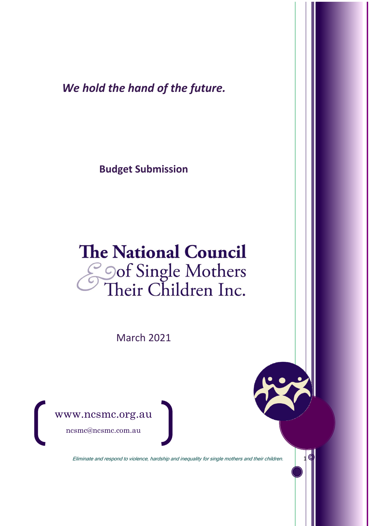*We hold the hand of the future.*

**Budget Submission** 

# **The National Council** Soof Single Mothers<br>Their Children Inc.

March 2021



Eliminate and respond to violence, hardship and inequality for single mothers and their children. 1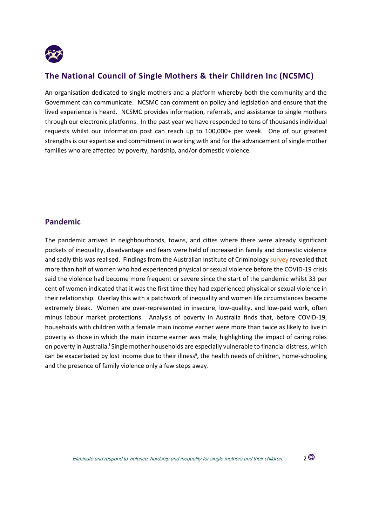

### **The National Council of Single Mothers & their Children Inc (NCSMC)**

An organisation dedicated to single mothers and a platform whereby both the community and the Government can communicate. NCSMC can comment on policy and legislation and ensure that the lived experience is heard. NCSMC provides information, referrals, and assistance to single mothers through our electronic platforms. In the past year we have responded to tens of thousands individual requests whilst our information post can reach up to 100,000+ per week. One of our greatest strengths is our expertise and commitment in working with and for the advancement of single mother families who are affected by poverty, hardship, and/or domestic violence.

#### **Pandemic**

The pandemic arrived in neighbourhoods, towns, and cities where there were already significant pockets of inequality, disadvantage and fears were held of increased in family and domestic violence and sadly this was realised. Findings from the Australian Institute of Criminolog[y survey](https://www.aic.gov.au/publications/sb/sb28) revealed that more than half of women who had experienced physical or sexual violence before the COVID-19 crisis said the violence had become more frequent or severe since the start of the pandemic whilst 33 per cent of women indicated that it was the first time they had experienced physical or sexual violence in their relationship. Overlay this with a patchwork of inequality and women life circumstances became extremely bleak. Women are over-represented in insecure, low-quality, and low-paid work, often minus labour market protections. Analysis of poverty in Australia finds that, before COVID-19, households with children with a female main income earner were more than twice as likely to live in poverty as those in which the main income earner was male, highlighting the impact of caring roles on poverty in Australia.<sup>i</sup> Single mother households are especially vulnerable to financial distress, which can be exacerbated by lost income due to their illness<sup>ii</sup>, the health needs of children, home-schooling and the presence of family violence only a few steps away.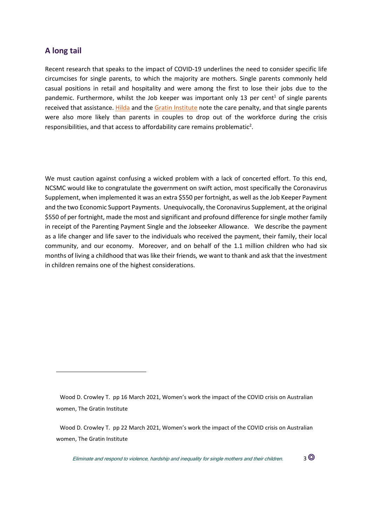#### **A long tail**

Recent research that speaks to the impact of COVID-19 underlines the need to consider specific life circumcises for single parents, to which the majority are mothers. Single parents commonly held casual positions in retail and hospitality and were among the first to lose their jobs due to the pandemic. Furthermore, whilst the Job keeper was important only 13 per cent<sup>1</sup> of single parents received that assistance. [Hilda](https://melbourneinstitute.unimelb.edu.au/__data/assets/pdf_file/0009/3537441/HILDA-Statistical-report-2020.pdf) and the [Gratin Institute](https://grattan.edu.au/report/womens-work/) note the care penalty, and that single parents were also more likely than parents in couples to drop out of the workforce during the crisis responsibilities, and that access to affordability care remains problematic<sup>2</sup>.

We must caution against confusing a wicked problem with a lack of concerted effort. To this end, NCSMC would like to congratulate the government on swift action, most specifically the Coronavirus Supplement, when implemented it was an extra \$550 per fortnight, as well as the Job Keeper Payment and the two Economic Support Payments. Unequivocally, the Coronavirus Supplement, at the original \$550 of per fortnight, made the most and significant and profound difference for single mother family in receipt of the Parenting Payment Single and the Jobseeker Allowance. We describe the payment as a life changer and life saver to the individuals who received the payment, their family, their local community, and our economy. Moreover, and on behalf of the 1.1 million children who had six months of living a childhood that was like their friends, we want to thank and ask that the investment in children remains one of the highest considerations.

Eliminate and respond to violence, hardship and inequality for single mothers and their children.  $3\,^{\circ}$ 

Wood D. Crowley T. pp 16 March 2021, Women's work the impact of the COVID crisis on Australian women, The Gratin Institute

Wood D. Crowley T. pp 22 March 2021, Women's work the impact of the COVID crisis on Australian women, The Gratin Institute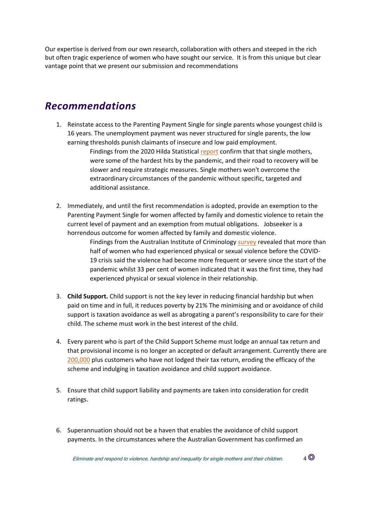Our expertise is derived from our own research, collaboration with others and steeped in the rich but often tragic experience of women who have sought our service. It is from this unique but clear vantage point that we present our submission and recommendations

## *Recommendations*

1. Reinstate access to the Parenting Payment Single for single parents whose youngest child is 16 years. The unemployment payment was never structured for single parents, the low earning thresholds punish claimants of insecure and low paid employment.

> Findings from the 2020 Hilda Statistical [report](https://melbourneinstitute.unimelb.edu.au/__data/assets/pdf_file/0009/3537441/HILDA-Statistical-report-2020.pdf) confirm that that single mothers, were some of the hardest hits by the pandemic, and their road to recovery will be slower and require strategic measures. Single mothers won't overcome the extraordinary circumstances of the pandemic without specific, targeted and additional assistance.

2. Immediately, and until the first recommendation is adopted, provide an exemption to the Parenting Payment Single for women affected by family and domestic violence to retain the current level of payment and an exemption from mutual obligations. Jobseeker is a horrendous outcome for women affected by family and domestic violence.

> Findings from the Australian Institute of Criminology [survey](https://www.aic.gov.au/publications/sb/sb28) revealed that more than half of women who had experienced physical or sexual violence before the COVID-19 crisis said the violence had become more frequent or severe since the start of the pandemic whilst 33 per cent of women indicated that it was the first time, they had experienced physical or sexual violence in their relationship.

- 3. **Child Support.** Child support is not the key lever in reducing financial hardship but when paid on time and in full, it reduces poverty by 21% The minimising and or avoidance of child support is taxation avoidance as well as abrogating a parent's responsibility to care for their child. The scheme must work in the best interest of the child.
- 4. Every parent who is part of the Child Support Scheme must lodge an annual tax return and that provisional income is no longer an accepted or default arrangement. Currently there are [200,000](https://researchbank.swinburne.edu.au/items/8e625e6a-3ae4-40d1-a426-474bba91d620/1/) plus customers who have not lodged their tax return, eroding the efficacy of the scheme and indulging in taxation avoidance and child support avoidance.
- 5. Ensure that child support liability and payments are taken into consideration for credit ratings.
- 6. Superannuation should not be a haven that enables the avoidance of child support payments. In the circumstances where the Australian Government has confirmed an

Eliminate and respond to violence, hardship and inequality for single mothers and their children.  $4\,^{\circ}$